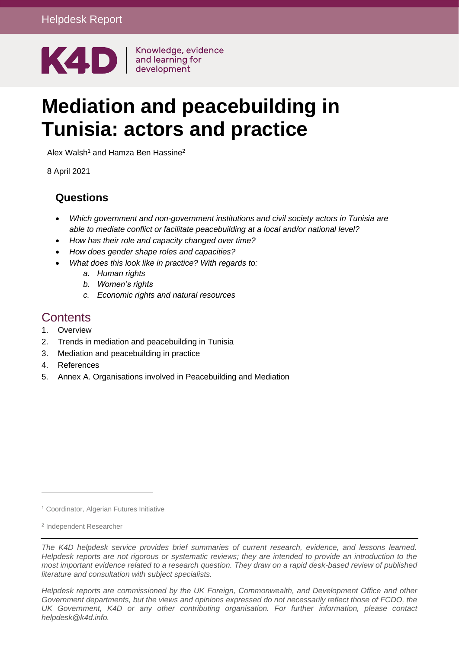

# **Mediation and peacebuilding in Tunisia: actors and practice**

Alex Walsh<sup>1</sup> and Hamza Ben Hassine<sup>2</sup>

8 April 2021

## **Questions**

- *Which government and non-government institutions and civil society actors in Tunisia are able to mediate conflict or facilitate peacebuilding at a local and/or national level?*
- *How has their role and capacity changed over time?*
- *How does gender shape roles and capacities?*
- *What does this look like in practice? With regards to:*
	- *a. Human rights*
	- *b. Women's rights*
	- *c. Economic rights and natural resources*

## **Contents**

- 1. [Overview](#page-1-0)
- 2. [Trends in mediation and peacebuilding in Tunisia](#page-2-0)
- 3. [Mediation and peacebuilding in practice](#page-5-0)
- 4. [References](#page-8-0)
- 5. [Annex A. Organisations involved in Peacebuilding and Mediation](#page-10-0)

*Helpdesk reports are commissioned by the UK Foreign, Commonwealth, and Development Office and other Government departments, but the views and opinions expressed do not necessarily reflect those of FCDO, the UK Government, K4D or any other contributing organisation. For further information, please contact helpdesk@k4d.info.*

<sup>1</sup> Coordinator, Algerian Futures Initiative

<sup>2</sup> Independent Researcher

*The K4D helpdesk service provides brief summaries of current research, evidence, and lessons learned. Helpdesk reports are not rigorous or systematic reviews; they are intended to provide an introduction to the most important evidence related to a research question. They draw on a rapid desk-based review of published literature and consultation with subject specialists.*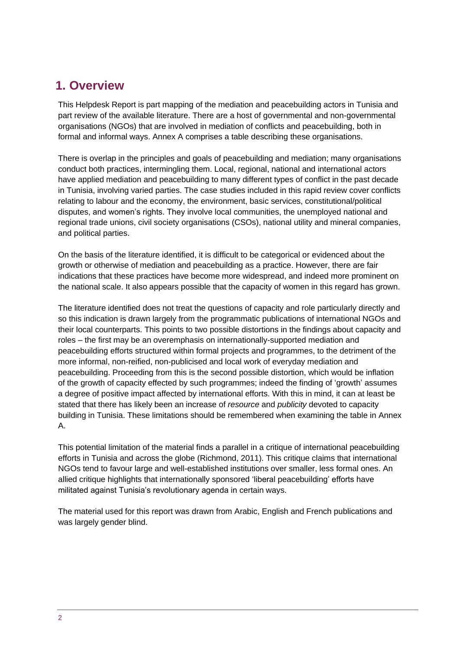## <span id="page-1-0"></span>**1. Overview**

This Helpdesk Report is part mapping of the mediation and peacebuilding actors in Tunisia and part review of the available literature. There are a host of governmental and non-governmental organisations (NGOs) that are involved in mediation of conflicts and peacebuilding, both in formal and informal ways. Annex A comprises a table describing these organisations.

There is overlap in the principles and goals of peacebuilding and mediation; many organisations conduct both practices, intermingling them. Local, regional, national and international actors have applied mediation and peacebuilding to many different types of conflict in the past decade in Tunisia, involving varied parties. The case studies included in this rapid review cover conflicts relating to labour and the economy, the environment, basic services, constitutional/political disputes, and women's rights. They involve local communities, the unemployed national and regional trade unions, civil society organisations (CSOs), national utility and mineral companies, and political parties.

On the basis of the literature identified, it is difficult to be categorical or evidenced about the growth or otherwise of mediation and peacebuilding as a practice. However, there are fair indications that these practices have become more widespread, and indeed more prominent on the national scale. It also appears possible that the capacity of women in this regard has grown.

The literature identified does not treat the questions of capacity and role particularly directly and so this indication is drawn largely from the programmatic publications of international NGOs and their local counterparts. This points to two possible distortions in the findings about capacity and roles – the first may be an overemphasis on internationally-supported mediation and peacebuilding efforts structured within formal projects and programmes, to the detriment of the more informal, non-reified, non-publicised and local work of everyday mediation and peacebuilding. Proceeding from this is the second possible distortion, which would be inflation of the growth of capacity effected by such programmes; indeed the finding of 'growth' assumes a degree of positive impact affected by international efforts. With this in mind, it can at least be stated that there has likely been an increase of *resource* and *publicity* devoted to capacity building in Tunisia. These limitations should be remembered when examining the table in Annex A.

This potential limitation of the material finds a parallel in a critique of international peacebuilding efforts in Tunisia and across the globe (Richmond, 2011). This critique claims that international NGOs tend to favour large and well-established institutions over smaller, less formal ones. An allied critique highlights that internationally sponsored 'liberal peacebuilding' efforts have militated against Tunisia's revolutionary agenda in certain ways.

The material used for this report was drawn from Arabic, English and French publications and was largely gender blind.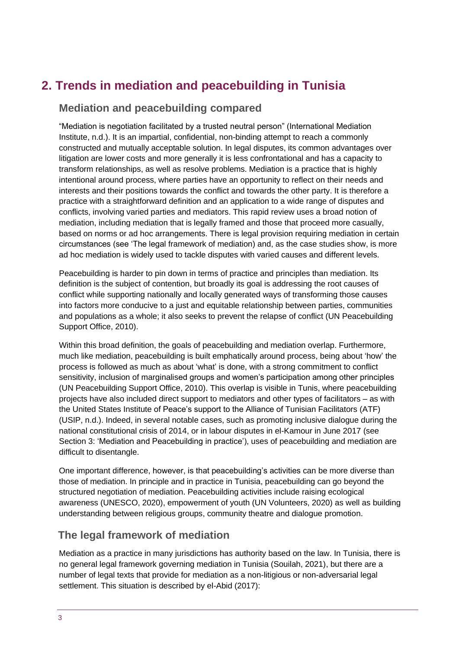# <span id="page-2-0"></span>**2. Trends in mediation and peacebuilding in Tunisia**

## **Mediation and peacebuilding compared**

"Mediation is negotiation facilitated by a trusted neutral person" (International Mediation Institute, n.d.). It is an impartial, confidential, non-binding attempt to reach a commonly constructed and mutually acceptable solution. In legal disputes, its common advantages over litigation are lower costs and more generally it is less confrontational and has a capacity to transform relationships, as well as resolve problems. Mediation is a practice that is highly intentional around process, where parties have an opportunity to reflect on their needs and interests and their positions towards the conflict and towards the other party. It is therefore a practice with a straightforward definition and an application to a wide range of disputes and conflicts, involving varied parties and mediators. This rapid review uses a broad notion of mediation, including mediation that is legally framed and those that proceed more casually, based on norms or ad hoc arrangements. There is legal provision requiring mediation in certain circumstances (see 'The legal framework of mediation) and, as the case studies show, is more ad hoc mediation is widely used to tackle disputes with varied causes and different levels.

Peacebuilding is harder to pin down in terms of practice and principles than mediation. Its definition is the subject of contention, but broadly its goal is addressing the root causes of conflict while supporting nationally and locally generated ways of transforming those causes into factors more conducive to a just and equitable relationship between parties, communities and populations as a whole; it also seeks to prevent the relapse of conflict (UN Peacebuilding Support Office, 2010).

Within this broad definition, the goals of peacebuilding and mediation overlap. Furthermore, much like mediation, peacebuilding is built emphatically around process, being about 'how' the process is followed as much as about 'what' is done, with a strong commitment to conflict sensitivity, inclusion of marginalised groups and women's participation among other principles (UN Peacebuilding Support Office, 2010). This overlap is visible in Tunis, where peacebuilding projects have also included direct support to mediators and other types of facilitators – as with the United States Institute of Peace's support to the Alliance of Tunisian Facilitators (ATF) (USIP, n.d.). Indeed, in several notable cases, such as promoting inclusive dialogue during the national constitutional crisis of 2014, or in labour disputes in el-Kamour in June 2017 (see Section 3: 'Mediation and Peacebuilding in practice'), uses of peacebuilding and mediation are difficult to disentangle.

One important difference, however, is that peacebuilding's activities can be more diverse than those of mediation. In principle and in practice in Tunisia, peacebuilding can go beyond the structured negotiation of mediation. Peacebuilding activities include raising ecological awareness (UNESCO, 2020), empowerment of youth (UN Volunteers, 2020) as well as building understanding between religious groups, community theatre and dialogue promotion.

#### **The legal framework of mediation**

Mediation as a practice in many jurisdictions has authority based on the law. In Tunisia, there is no general legal framework governing mediation in Tunisia (Souilah, 2021), but there are a number of legal texts that provide for mediation as a non-litigious or non-adversarial legal settlement. This situation is described by el-Abid (2017):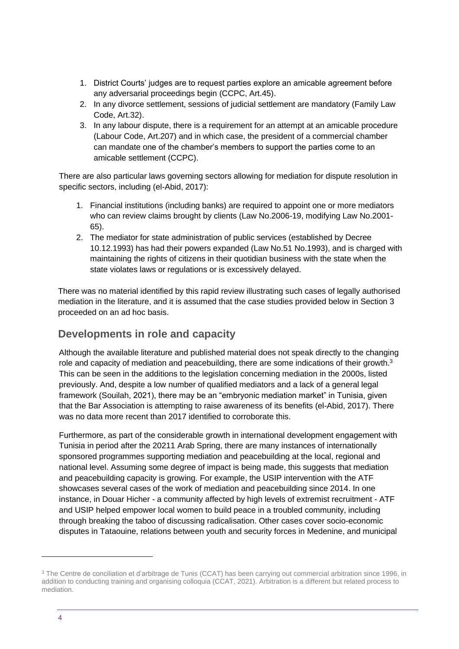- 1. District Courts' judges are to request parties explore an amicable agreement before any adversarial proceedings begin (CCPC, Art.45).
- 2. In any divorce settlement, sessions of judicial settlement are mandatory (Family Law Code, Art.32).
- 3. In any labour dispute, there is a requirement for an attempt at an amicable procedure (Labour Code, Art.207) and in which case, the president of a commercial chamber can mandate one of the chamber's members to support the parties come to an amicable settlement (CCPC).

There are also particular laws governing sectors allowing for mediation for dispute resolution in specific sectors, including (el-Abid, 2017):

- 1. Financial institutions (including banks) are required to appoint one or more mediators who can review claims brought by clients (Law No.2006-19, modifying Law No.2001- 65).
- 2. The mediator for state administration of public services (established by Decree 10.12.1993) has had their powers expanded (Law No.51 No.1993), and is charged with maintaining the rights of citizens in their quotidian business with the state when the state violates laws or regulations or is excessively delayed.

There was no material identified by this rapid review illustrating such cases of legally authorised mediation in the literature, and it is assumed that the case studies provided below in Section 3 proceeded on an ad hoc basis.

## **Developments in role and capacity**

Although the available literature and published material does not speak directly to the changing role and capacity of mediation and peacebuilding, there are some indications of their growth. $3$ This can be seen in the additions to the legislation concerning mediation in the 2000s, listed previously. And, despite a low number of qualified mediators and a lack of a general legal framework (Souilah, 2021), there may be an "embryonic mediation market" in Tunisia, given that the Bar Association is attempting to raise awareness of its benefits (el-Abid, 2017). There was no data more recent than 2017 identified to corroborate this.

Furthermore, as part of the considerable growth in international development engagement with Tunisia in period after the 20211 Arab Spring, there are many instances of internationally sponsored programmes supporting mediation and peacebuilding at the local, regional and national level. Assuming some degree of impact is being made, this suggests that mediation and peacebuilding capacity is growing. For example, the USIP intervention with the ATF showcases several cases of the work of mediation and peacebuilding since 2014. In one instance, in Douar Hicher - a community affected by high levels of extremist recruitment - ATF and USIP helped empower local women to build peace in a troubled community, including through breaking the taboo of discussing radicalisation. Other cases cover socio-economic disputes in Tataouine, relations between youth and security forces in Medenine, and municipal

<sup>&</sup>lt;sup>3</sup> The Centre de conciliation et d'arbitrage de Tunis (CCAT) has been carrying out commercial arbitration since 1996, in addition to conducting training and organising colloquia (CCAT, 2021). Arbitration is a different but related process to mediation.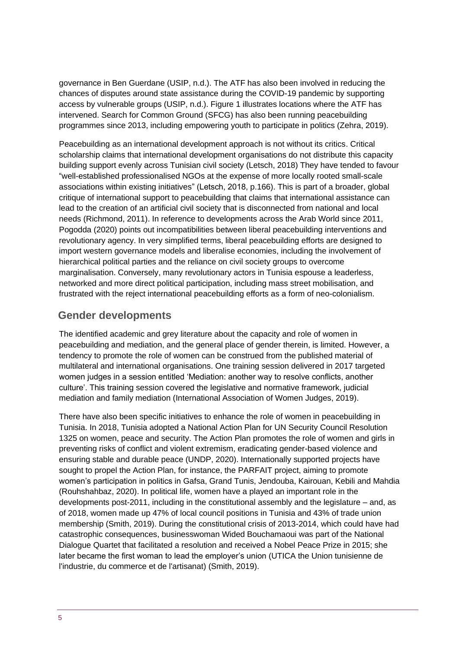governance in Ben Guerdane (USIP, n.d.). The ATF has also been involved in reducing the chances of disputes around state assistance during the COVID-19 pandemic by supporting access by vulnerable groups (USIP, n.d.). Figure 1 illustrates locations where the ATF has intervened. Search for Common Ground (SFCG) has also been running peacebuilding programmes since 2013, including empowering youth to participate in politics (Zehra, 2019).

Peacebuilding as an international development approach is not without its critics. Critical scholarship claims that international development organisations do not distribute this capacity building support evenly across Tunisian civil society (Letsch, 2018) They have tended to favour "well-established professionalised NGOs at the expense of more locally rooted small-scale associations within existing initiatives" (Letsch, 2018, p.166). This is part of a broader, global critique of international support to peacebuilding that claims that international assistance can lead to the creation of an artificial civil society that is disconnected from national and local needs (Richmond, 2011). In reference to developments across the Arab World since 2011, Pogodda (2020) points out incompatibilities between liberal peacebuilding interventions and revolutionary agency. In very simplified terms, liberal peacebuilding efforts are designed to import western governance models and liberalise economies, including the involvement of hierarchical political parties and the reliance on civil society groups to overcome marginalisation. Conversely, many revolutionary actors in Tunisia espouse a leaderless, networked and more direct political participation, including mass street mobilisation, and frustrated with the reject international peacebuilding efforts as a form of neo-colonialism.

## **Gender developments**

The identified academic and grey literature about the capacity and role of women in peacebuilding and mediation, and the general place of gender therein, is limited. However, a tendency to promote the role of women can be construed from the published material of multilateral and international organisations. One training session delivered in 2017 targeted women judges in a session entitled 'Mediation: another way to resolve conflicts, another culture'. This training session covered the legislative and normative framework, judicial mediation and family mediation (International Association of Women Judges, 2019).

There have also been specific initiatives to enhance the role of women in peacebuilding in Tunisia. In 2018, Tunisia adopted a National Action Plan for UN Security Council Resolution 1325 on women, peace and security. The Action Plan promotes the role of women and girls in preventing risks of conflict and violent extremism, eradicating gender-based violence and ensuring stable and durable peace (UNDP, 2020). Internationally supported projects have sought to propel the Action Plan, for instance, the PARFAIT project, aiming to promote women's participation in politics in Gafsa, Grand Tunis, Jendouba, Kairouan, Kebili and Mahdia (Rouhshahbaz, 2020). In political life, women have a played an important role in the developments post-2011, including in the constitutional assembly and the legislature – and, as of 2018, women made up 47% of local council positions in Tunisia and 43% of trade union membership (Smith, 2019). During the constitutional crisis of 2013-2014, which could have had catastrophic consequences, businesswoman Wided Bouchamaoui was part of the National Dialogue Quartet that facilitated a resolution and received a Nobel Peace Prize in 2015; she later became the first woman to lead the employer's union (UTICA the Union tunisienne de l'industrie, du commerce et de l'artisanat) (Smith, 2019).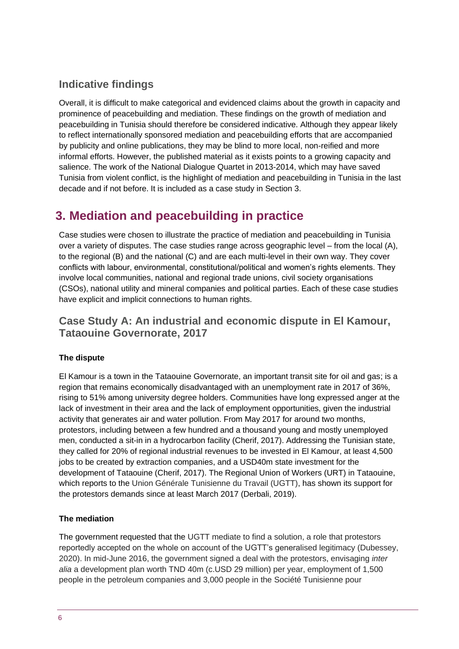## **Indicative findings**

Overall, it is difficult to make categorical and evidenced claims about the growth in capacity and prominence of peacebuilding and mediation. These findings on the growth of mediation and peacebuilding in Tunisia should therefore be considered indicative. Although they appear likely to reflect internationally sponsored mediation and peacebuilding efforts that are accompanied by publicity and online publications, they may be blind to more local, non-reified and more informal efforts. However, the published material as it exists points to a growing capacity and salience. The work of the National Dialogue Quartet in 2013-2014, which may have saved Tunisia from violent conflict, is the highlight of mediation and peacebuilding in Tunisia in the last decade and if not before. It is included as a case study in Section 3.

# <span id="page-5-0"></span>**3. Mediation and peacebuilding in practice**

Case studies were chosen to illustrate the practice of mediation and peacebuilding in Tunisia over a variety of disputes. The case studies range across geographic level – from the local (A), to the regional (B) and the national (C) and are each multi-level in their own way. They cover conflicts with labour, environmental, constitutional/political and women's rights elements. They involve local communities, national and regional trade unions, civil society organisations (CSOs), national utility and mineral companies and political parties. Each of these case studies have explicit and implicit connections to human rights.

## **Case Study A: An industrial and economic dispute in El Kamour, Tataouine Governorate, 2017**

#### **The dispute**

El Kamour is a town in the Tataouine Governorate, an important transit site for oil and gas; is a region that remains economically disadvantaged with an unemployment rate in 2017 of 36%, rising to 51% among university degree holders. Communities have long expressed anger at the lack of investment in their area and the lack of employment opportunities, given the industrial activity that generates air and water pollution. From May 2017 for around two months, protestors, including between a few hundred and a thousand young and mostly unemployed men, conducted a sit-in in a hydrocarbon facility (Cherif, 2017). Addressing the Tunisian state, they called for 20% of regional industrial revenues to be invested in El Kamour, at least 4,500 jobs to be created by extraction companies, and a USD40m state investment for the development of Tataouine (Cherif, 2017). The Regional Union of Workers (URT) in Tataouine, which reports to the Union Générale Tunisienne du Travail (UGTT), has shown its support for the protestors demands since at least March 2017 (Derbali, 2019).

#### **The mediation**

The government requested that the UGTT mediate to find a solution, a role that protestors reportedly accepted on the whole on account of the UGTT's generalised legitimacy (Dubessey, 2020). In mid-June 2016, the government signed a deal with the protestors, envisaging *inter alia* a development plan worth TND 40m (c.USD 29 million) per year, employment of 1,500 people in the petroleum companies and 3,000 people in the Société Tunisienne pour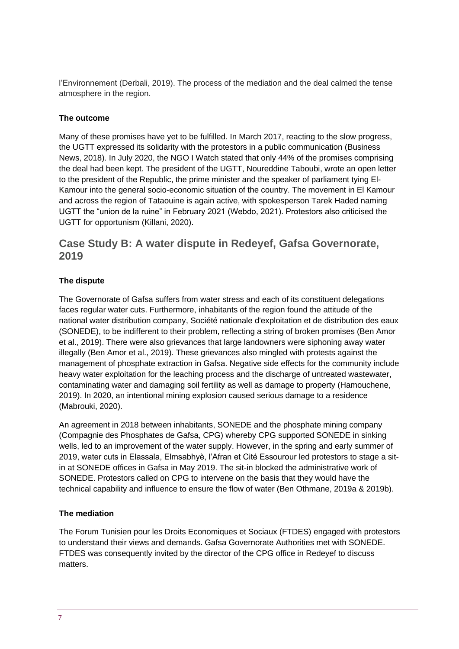l'Environnement (Derbali, 2019). The process of the mediation and the deal calmed the tense atmosphere in the region.

#### **The outcome**

Many of these promises have yet to be fulfilled. In March 2017, reacting to the slow progress, the UGTT expressed its solidarity with the protestors in a public communication (Business News, 2018). In July 2020, the NGO I Watch stated that only 44% of the promises comprising the deal had been kept. The president of the UGTT, Noureddine Taboubi, wrote an open letter to the president of the Republic, the prime minister and the speaker of parliament tying El-Kamour into the general socio-economic situation of the country. The movement in El Kamour and across the region of Tataouine is again active, with spokesperson Tarek Haded naming UGTT the "union de la ruine" in February 2021 (Webdo, 2021). Protestors also criticised the UGTT for opportunism (Killani, 2020).

## **Case Study B: A water dispute in Redeyef, Gafsa Governorate, 2019**

#### **The dispute**

The Governorate of Gafsa suffers from water stress and each of its constituent delegations faces regular water cuts. Furthermore, inhabitants of the region found the attitude of the national water distribution company, Société nationale d'exploitation et de distribution des eaux (SONEDE), to be indifferent to their problem, reflecting a string of broken promises (Ben Amor et al., 2019). There were also grievances that large landowners were siphoning away water illegally (Ben Amor et al., 2019). These grievances also mingled with protests against the management of phosphate extraction in Gafsa. Negative side effects for the community include heavy water exploitation for the leaching process and the discharge of untreated wastewater, contaminating water and damaging soil fertility as well as damage to property (Hamouchene, 2019). In 2020, an intentional mining explosion caused serious damage to a residence (Mabrouki, 2020).

An agreement in 2018 between inhabitants, SONEDE and the phosphate mining company (Compagnie des Phosphates de Gafsa, CPG) whereby CPG supported SONEDE in sinking wells, led to an improvement of the water supply. However, in the spring and early summer of 2019, water cuts in Elassala, Elmsabhyè, l'Afran et Cité Essourour led protestors to stage a sitin at SONEDE offices in Gafsa in May 2019. The sit-in blocked the administrative work of SONEDE. Protestors called on CPG to intervene on the basis that they would have the technical capability and influence to ensure the flow of water (Ben Othmane, 2019a & 2019b).

#### **The mediation**

The Forum Tunisien pour les Droits Economiques et Sociaux (FTDES) engaged with protestors to understand their views and demands. Gafsa Governorate Authorities met with SONEDE. FTDES was consequently invited by the director of the CPG office in Redeyef to discuss matters.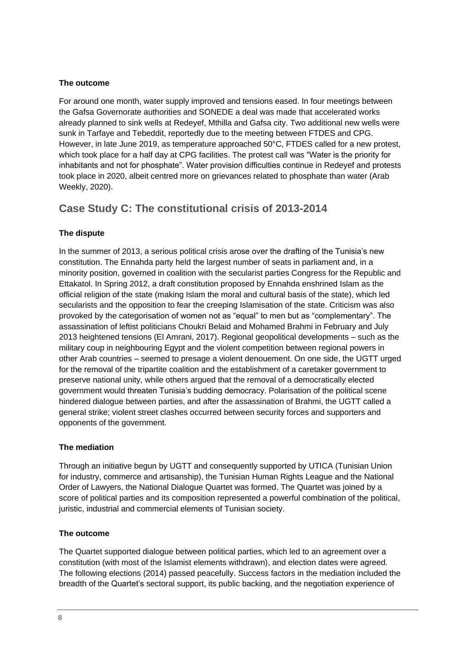#### **The outcome**

For around one month, water supply improved and tensions eased. In four meetings between the Gafsa Governorate authorities and SONEDE a deal was made that accelerated works already planned to sink wells at Redeyef, Mthilla and Gafsa city. Two additional new wells were sunk in Tarfaye and Tebeddit, reportedly due to the meeting between FTDES and CPG. However, in late June 2019, as temperature approached 50°C, FTDES called for a new protest, which took place for a half day at CPG facilities. The protest call was "Water is the priority for inhabitants and not for phosphate". Water provision difficulties continue in Redeyef and protests took place in 2020, albeit centred more on grievances related to phosphate than water (Arab Weekly, 2020).

## **Case Study C: The constitutional crisis of 2013-2014**

#### **The dispute**

In the summer of 2013, a serious political crisis arose over the drafting of the Tunisia's new constitution. The Ennahda party held the largest number of seats in parliament and, in a minority position, governed in coalition with the secularist parties Congress for the Republic and Ettakatol. In Spring 2012, a draft constitution proposed by Ennahda enshrined Islam as the official religion of the state (making Islam the moral and cultural basis of the state), which led secularists and the opposition to fear the creeping Islamisation of the state. Criticism was also provoked by the categorisation of women not as "equal" to men but as "complementary". The assassination of leftist politicians Choukri Belaid and Mohamed Brahmi in February and July 2013 heightened tensions (El Amrani, 2017). Regional geopolitical developments – such as the military coup in neighbouring Egypt and the violent competition between regional powers in other Arab countries – seemed to presage a violent denouement. On one side, the UGTT urged for the removal of the tripartite coalition and the establishment of a caretaker government to preserve national unity, while others argued that the removal of a democratically elected government would threaten Tunisia's budding democracy. Polarisation of the political scene hindered dialogue between parties, and after the assassination of Brahmi, the UGTT called a general strike; violent street clashes occurred between security forces and supporters and opponents of the government.

#### **The mediation**

Through an initiative begun by UGTT and consequently supported by UTICA (Tunisian Union for industry, commerce and artisanship), the Tunisian Human Rights League and the National Order of Lawyers, the National Dialogue Quartet was formed. The Quartet was joined by a score of political parties and its composition represented a powerful combination of the political, juristic, industrial and commercial elements of Tunisian society.

#### **The outcome**

The Quartet supported dialogue between political parties, which led to an agreement over a constitution (with most of the Islamist elements withdrawn), and election dates were agreed. The following elections (2014) passed peacefully. Success factors in the mediation included the breadth of the Quartet's sectoral support, its public backing, and the negotiation experience of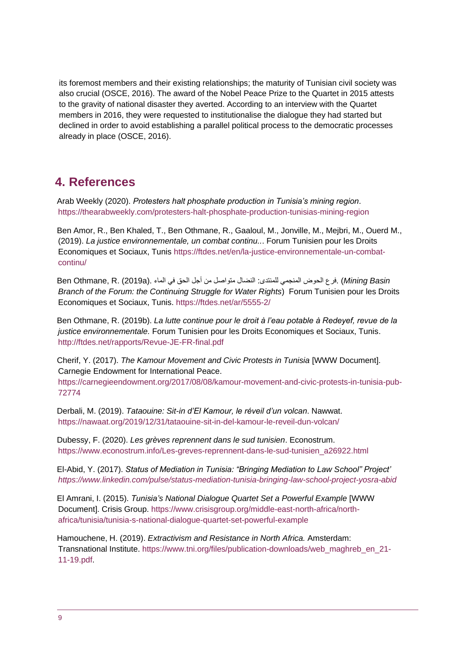its foremost members and their existing relationships; the maturity of Tunisian civil society was also crucial (OSCE, 2016). The award of the Nobel Peace Prize to the Quartet in 2015 attests to the gravity of national disaster they averted. According to an interview with the Quartet members in 2016, they were requested to institutionalise the dialogue they had started but declined in order to avoid establishing a parallel political process to the democratic processes already in place (OSCE, 2016).

## <span id="page-8-0"></span>**4. References**

Arab Weekly (2020). *Protesters halt phosphate production in Tunisia's mining region*. <https://thearabweekly.com/protesters-halt-phosphate-production-tunisias-mining-region>

Ben Amor, R., Ben Khaled, T., Ben Othmane, R., Gaaloul, M., Jonville, M., Mejbri, M., Ouerd M., (2019). *La justice environnementale, un combat continu..*. Forum Tunisien pour les Droits Economiques et Sociaux, Tunis [https://ftdes.net/en/la-justice-environnementale-un-combat](https://ftdes.net/en/la-justice-environnementale-un-combat-continu/)[continu/](https://ftdes.net/en/la-justice-environnementale-un-combat-continu/)

*B*en Othmane, R. (2019a). فرع الحوض المنجمي للمنتدى: النضال متواصل من أجل الحق في الماء .(a2019a) . *Branch of the Forum: the Continuing Struggle for Water Rights*) Forum Tunisien pour les Droits Economiques et Sociaux, Tunis. <https://ftdes.net/ar/5555-2/>

Ben Othmane, R. (2019b). *La lutte continue pour le droit à l'eau potable à Redeyef, revue de la justice environnementale.* Forum Tunisien pour les Droits Economiques et Sociaux, Tunis. <http://ftdes.net/rapports/Revue-JE-FR-final.pdf>

Cherif, Y. (2017). *The Kamour Movement and Civic Protests in Tunisia* [WWW Document]. Carnegie Endowment for International Peace.

[https://carnegieendowment.org/2017/08/08/kamour-movement-and-civic-protests-in-tunisia-pub-](https://carnegieendowment.org/2017/08/08/kamour-movement-and-civic-protests-in-tunisia-pub-72774)[72774](https://carnegieendowment.org/2017/08/08/kamour-movement-and-civic-protests-in-tunisia-pub-72774)

Derbali, M. (2019). *Tataouine: Sit-in d'El Kamour, le réveil d'un volcan*. Nawwat. <https://nawaat.org/2019/12/31/tataouine-sit-in-del-kamour-le-reveil-dun-volcan/>

Dubessy, F. (2020). *Les grèves reprennent dans le sud tunisien*. Econostrum. [https://www.econostrum.info/Les-greves-reprennent-dans-le-sud-tunisien\\_a26922.html](https://www.econostrum.info/Les-greves-reprennent-dans-le-sud-tunisien_a26922.html)

El-Abid, Y. (2017). *Status of Mediation in Tunisia: "Bringing Mediation to Law School" Project' <https://www.linkedin.com/pulse/status-mediation-tunisia-bringing-law-school-project-yosra-abid>*

El Amrani, I. (2015). *Tunisia's National Dialogue Quartet Set a Powerful Example* [WWW Document]. Crisis Group. [https://www.crisisgroup.org/middle-east-north-africa/north](https://www.crisisgroup.org/middle-east-north-africa/north-africa/tunisia/tunisia-s-national-dialogue-quartet-set-powerful-example)[africa/tunisia/tunisia-s-national-dialogue-quartet-set-powerful-example](https://www.crisisgroup.org/middle-east-north-africa/north-africa/tunisia/tunisia-s-national-dialogue-quartet-set-powerful-example)

Hamouchene, H. (2019). *Extractivism and Resistance in North Africa.* Amsterdam: Transnational Institute. [https://www.tni.org/files/publication-downloads/web\\_maghreb\\_en\\_21-](https://www.tni.org/files/publication-downloads/web_maghreb_en_21-11-19.pdf) [11-19.pdf.](https://www.tni.org/files/publication-downloads/web_maghreb_en_21-11-19.pdf)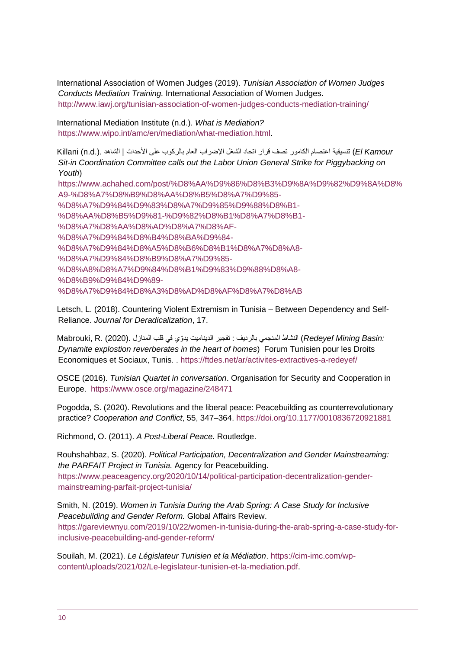International Association of Women Judges (2019). *Tunisian Association of Women Judges Conducts Mediation Training.* International Association of Women Judges. http://www.iawj.org/tunisian-association-of-women-judges-conducts-mediation-training/

International Mediation Institute (n.d.). *What is Mediation?*  [https://www.wipo.int/amc/en/mediation/what-mediation.html.](https://www.wipo.int/amc/en/mediation/what-mediation.html)

 *Kamour El* (تنسيقية اعتصام الكامور تصف قرار اتحاد الشغل اإلضراب العام بالركوب على األحداث | الشاهد .(.d.n (Killani *Sit-in Coordination Committee calls out the Labor Union General Strike for Piggybacking on Youth*)

[https://www.achahed.com/post/%D8%AA%D9%86%D8%B3%D9%8A%D9%82%D9%8A%D8%](https://www.achahed.com/post/%D8%AA%D9%86%D8%B3%D9%8A%D9%82%D9%8A%D8%A9-%D8%A7%D8%B9%D8%AA%D8%B5%D8%A7%D9%85-%D8%A7%D9%84%D9%83%D8%A7%D9%85%D9%88%D8%B1-%D8%AA%D8%B5%D9%81-%D9%82%D8%B1%D8%A7%D8%B1-%D8%A7%D8%AA%D8%AD%D8%A7%D8%AF-%D8%A7%D9%84%D8%B4%D8%BA%D9%84-%D8%A7%D9%84%D8%A5%D8%B6%D8%B1%D8%A7%D8%A8-%D8%A7%D9%84%D8%B9%D8%A7%D9%85-%D8%A8%D8%A7%D9%84%D8%B1%D9%83%D9%88%D8%A8-%D8%B9%D9%84%D9%89-%D8%A7%D9%84%D8%A3%D8%AD%D8%AF%D8%A7%D8%AB) [A9-%D8%A7%D8%B9%D8%AA%D8%B5%D8%A7%D9%85-](https://www.achahed.com/post/%D8%AA%D9%86%D8%B3%D9%8A%D9%82%D9%8A%D8%A9-%D8%A7%D8%B9%D8%AA%D8%B5%D8%A7%D9%85-%D8%A7%D9%84%D9%83%D8%A7%D9%85%D9%88%D8%B1-%D8%AA%D8%B5%D9%81-%D9%82%D8%B1%D8%A7%D8%B1-%D8%A7%D8%AA%D8%AD%D8%A7%D8%AF-%D8%A7%D9%84%D8%B4%D8%BA%D9%84-%D8%A7%D9%84%D8%A5%D8%B6%D8%B1%D8%A7%D8%A8-%D8%A7%D9%84%D8%B9%D8%A7%D9%85-%D8%A8%D8%A7%D9%84%D8%B1%D9%83%D9%88%D8%A8-%D8%B9%D9%84%D9%89-%D8%A7%D9%84%D8%A3%D8%AD%D8%AF%D8%A7%D8%AB) [%D8%A7%D9%84%D9%83%D8%A7%D9%85%D9%88%D8%B1-](https://www.achahed.com/post/%D8%AA%D9%86%D8%B3%D9%8A%D9%82%D9%8A%D8%A9-%D8%A7%D8%B9%D8%AA%D8%B5%D8%A7%D9%85-%D8%A7%D9%84%D9%83%D8%A7%D9%85%D9%88%D8%B1-%D8%AA%D8%B5%D9%81-%D9%82%D8%B1%D8%A7%D8%B1-%D8%A7%D8%AA%D8%AD%D8%A7%D8%AF-%D8%A7%D9%84%D8%B4%D8%BA%D9%84-%D8%A7%D9%84%D8%A5%D8%B6%D8%B1%D8%A7%D8%A8-%D8%A7%D9%84%D8%B9%D8%A7%D9%85-%D8%A8%D8%A7%D9%84%D8%B1%D9%83%D9%88%D8%A8-%D8%B9%D9%84%D9%89-%D8%A7%D9%84%D8%A3%D8%AD%D8%AF%D8%A7%D8%AB) [%D8%AA%D8%B5%D9%81-%D9%82%D8%B1%D8%A7%D8%B1-](https://www.achahed.com/post/%D8%AA%D9%86%D8%B3%D9%8A%D9%82%D9%8A%D8%A9-%D8%A7%D8%B9%D8%AA%D8%B5%D8%A7%D9%85-%D8%A7%D9%84%D9%83%D8%A7%D9%85%D9%88%D8%B1-%D8%AA%D8%B5%D9%81-%D9%82%D8%B1%D8%A7%D8%B1-%D8%A7%D8%AA%D8%AD%D8%A7%D8%AF-%D8%A7%D9%84%D8%B4%D8%BA%D9%84-%D8%A7%D9%84%D8%A5%D8%B6%D8%B1%D8%A7%D8%A8-%D8%A7%D9%84%D8%B9%D8%A7%D9%85-%D8%A8%D8%A7%D9%84%D8%B1%D9%83%D9%88%D8%A8-%D8%B9%D9%84%D9%89-%D8%A7%D9%84%D8%A3%D8%AD%D8%AF%D8%A7%D8%AB) [%D8%A7%D8%AA%D8%AD%D8%A7%D8%AF-](https://www.achahed.com/post/%D8%AA%D9%86%D8%B3%D9%8A%D9%82%D9%8A%D8%A9-%D8%A7%D8%B9%D8%AA%D8%B5%D8%A7%D9%85-%D8%A7%D9%84%D9%83%D8%A7%D9%85%D9%88%D8%B1-%D8%AA%D8%B5%D9%81-%D9%82%D8%B1%D8%A7%D8%B1-%D8%A7%D8%AA%D8%AD%D8%A7%D8%AF-%D8%A7%D9%84%D8%B4%D8%BA%D9%84-%D8%A7%D9%84%D8%A5%D8%B6%D8%B1%D8%A7%D8%A8-%D8%A7%D9%84%D8%B9%D8%A7%D9%85-%D8%A8%D8%A7%D9%84%D8%B1%D9%83%D9%88%D8%A8-%D8%B9%D9%84%D9%89-%D8%A7%D9%84%D8%A3%D8%AD%D8%AF%D8%A7%D8%AB) [%D8%A7%D9%84%D8%B4%D8%BA%D9%84-](https://www.achahed.com/post/%D8%AA%D9%86%D8%B3%D9%8A%D9%82%D9%8A%D8%A9-%D8%A7%D8%B9%D8%AA%D8%B5%D8%A7%D9%85-%D8%A7%D9%84%D9%83%D8%A7%D9%85%D9%88%D8%B1-%D8%AA%D8%B5%D9%81-%D9%82%D8%B1%D8%A7%D8%B1-%D8%A7%D8%AA%D8%AD%D8%A7%D8%AF-%D8%A7%D9%84%D8%B4%D8%BA%D9%84-%D8%A7%D9%84%D8%A5%D8%B6%D8%B1%D8%A7%D8%A8-%D8%A7%D9%84%D8%B9%D8%A7%D9%85-%D8%A8%D8%A7%D9%84%D8%B1%D9%83%D9%88%D8%A8-%D8%B9%D9%84%D9%89-%D8%A7%D9%84%D8%A3%D8%AD%D8%AF%D8%A7%D8%AB) [%D8%A7%D9%84%D8%A5%D8%B6%D8%B1%D8%A7%D8%A8-](https://www.achahed.com/post/%D8%AA%D9%86%D8%B3%D9%8A%D9%82%D9%8A%D8%A9-%D8%A7%D8%B9%D8%AA%D8%B5%D8%A7%D9%85-%D8%A7%D9%84%D9%83%D8%A7%D9%85%D9%88%D8%B1-%D8%AA%D8%B5%D9%81-%D9%82%D8%B1%D8%A7%D8%B1-%D8%A7%D8%AA%D8%AD%D8%A7%D8%AF-%D8%A7%D9%84%D8%B4%D8%BA%D9%84-%D8%A7%D9%84%D8%A5%D8%B6%D8%B1%D8%A7%D8%A8-%D8%A7%D9%84%D8%B9%D8%A7%D9%85-%D8%A8%D8%A7%D9%84%D8%B1%D9%83%D9%88%D8%A8-%D8%B9%D9%84%D9%89-%D8%A7%D9%84%D8%A3%D8%AD%D8%AF%D8%A7%D8%AB) [%D8%A7%D9%84%D8%B9%D8%A7%D9%85-](https://www.achahed.com/post/%D8%AA%D9%86%D8%B3%D9%8A%D9%82%D9%8A%D8%A9-%D8%A7%D8%B9%D8%AA%D8%B5%D8%A7%D9%85-%D8%A7%D9%84%D9%83%D8%A7%D9%85%D9%88%D8%B1-%D8%AA%D8%B5%D9%81-%D9%82%D8%B1%D8%A7%D8%B1-%D8%A7%D8%AA%D8%AD%D8%A7%D8%AF-%D8%A7%D9%84%D8%B4%D8%BA%D9%84-%D8%A7%D9%84%D8%A5%D8%B6%D8%B1%D8%A7%D8%A8-%D8%A7%D9%84%D8%B9%D8%A7%D9%85-%D8%A8%D8%A7%D9%84%D8%B1%D9%83%D9%88%D8%A8-%D8%B9%D9%84%D9%89-%D8%A7%D9%84%D8%A3%D8%AD%D8%AF%D8%A7%D8%AB) [%D8%A8%D8%A7%D9%84%D8%B1%D9%83%D9%88%D8%A8-](https://www.achahed.com/post/%D8%AA%D9%86%D8%B3%D9%8A%D9%82%D9%8A%D8%A9-%D8%A7%D8%B9%D8%AA%D8%B5%D8%A7%D9%85-%D8%A7%D9%84%D9%83%D8%A7%D9%85%D9%88%D8%B1-%D8%AA%D8%B5%D9%81-%D9%82%D8%B1%D8%A7%D8%B1-%D8%A7%D8%AA%D8%AD%D8%A7%D8%AF-%D8%A7%D9%84%D8%B4%D8%BA%D9%84-%D8%A7%D9%84%D8%A5%D8%B6%D8%B1%D8%A7%D8%A8-%D8%A7%D9%84%D8%B9%D8%A7%D9%85-%D8%A8%D8%A7%D9%84%D8%B1%D9%83%D9%88%D8%A8-%D8%B9%D9%84%D9%89-%D8%A7%D9%84%D8%A3%D8%AD%D8%AF%D8%A7%D8%AB) [%D8%B9%D9%84%D9%89-](https://www.achahed.com/post/%D8%AA%D9%86%D8%B3%D9%8A%D9%82%D9%8A%D8%A9-%D8%A7%D8%B9%D8%AA%D8%B5%D8%A7%D9%85-%D8%A7%D9%84%D9%83%D8%A7%D9%85%D9%88%D8%B1-%D8%AA%D8%B5%D9%81-%D9%82%D8%B1%D8%A7%D8%B1-%D8%A7%D8%AA%D8%AD%D8%A7%D8%AF-%D8%A7%D9%84%D8%B4%D8%BA%D9%84-%D8%A7%D9%84%D8%A5%D8%B6%D8%B1%D8%A7%D8%A8-%D8%A7%D9%84%D8%B9%D8%A7%D9%85-%D8%A8%D8%A7%D9%84%D8%B1%D9%83%D9%88%D8%A8-%D8%B9%D9%84%D9%89-%D8%A7%D9%84%D8%A3%D8%AD%D8%AF%D8%A7%D8%AB) [%D8%A7%D9%84%D8%A3%D8%AD%D8%AF%D8%A7%D8%AB](https://www.achahed.com/post/%D8%AA%D9%86%D8%B3%D9%8A%D9%82%D9%8A%D8%A9-%D8%A7%D8%B9%D8%AA%D8%B5%D8%A7%D9%85-%D8%A7%D9%84%D9%83%D8%A7%D9%85%D9%88%D8%B1-%D8%AA%D8%B5%D9%81-%D9%82%D8%B1%D8%A7%D8%B1-%D8%A7%D8%AA%D8%AD%D8%A7%D8%AF-%D8%A7%D9%84%D8%B4%D8%BA%D9%84-%D8%A7%D9%84%D8%A5%D8%B6%D8%B1%D8%A7%D8%A8-%D8%A7%D9%84%D8%B9%D8%A7%D9%85-%D8%A8%D8%A7%D9%84%D8%B1%D9%83%D9%88%D8%A8-%D8%B9%D9%84%D9%89-%D8%A7%D9%84%D8%A3%D8%AD%D8%AF%D8%A7%D8%AB)

Letsch, L. (2018). Countering Violent Extremism in Tunisia – Between Dependency and Self-Reliance. *Journal for Deradicalization*, 17.

 *:Basin Mining Redeyef* (النشاط المنجمي بالرديف : تفجير الديناميت يدّوي في قلب المنازل .(2020) .R ,Mabrouki *Dynamite explostion reverberates in the heart of homes*) Forum Tunisien pour les Droits Economiques et Sociaux, Tunis. .<https://ftdes.net/ar/activites-extractives-a-redeyef/>

OSCE (2016). *Tunisian Quartet in conversation*. Organisation for Security and Cooperation in Europe. <https://www.osce.org/magazine/248471>

Pogodda, S. (2020). Revolutions and the liberal peace: Peacebuilding as counterrevolutionary practice? *Cooperation and Conflict*, 55, 347–364.<https://doi.org/10.1177/0010836720921881>

Richmond, O. (2011). *A Post-Liberal Peace.* Routledge.

Rouhshahbaz, S. (2020). *Political Participation, Decentralization and Gender Mainstreaming: the PARFAIT Project in Tunisia.* Agency for Peacebuilding. [https://www.peaceagency.org/2020/10/14/political-participation-decentralization-gender](https://www.peaceagency.org/2020/10/14/political-participation-decentralization-gender-mainstreaming-parfait-project-tunisia/)[mainstreaming-parfait-project-tunisia/](https://www.peaceagency.org/2020/10/14/political-participation-decentralization-gender-mainstreaming-parfait-project-tunisia/)

Smith, N. (2019). *Women in Tunisia During the Arab Spring: A Case Study for Inclusive Peacebuilding and Gender Reform.* Global Affairs Review. [https://gareviewnyu.com/2019/10/22/women-in-tunisia-during-the-arab-spring-a-case-study-for](https://gareviewnyu.com/2019/10/22/women-in-tunisia-during-the-arab-spring-a-case-study-for-inclusive-peacebuilding-and-gender-reform/)[inclusive-peacebuilding-and-gender-reform/](https://gareviewnyu.com/2019/10/22/women-in-tunisia-during-the-arab-spring-a-case-study-for-inclusive-peacebuilding-and-gender-reform/)

Souilah, M. (2021). *Le Législateur Tunisien et la Médiation*. [https://cim-imc.com/wp](https://cim-imc.com/wp-content/uploads/2021/02/Le-legislateur-tunisien-et-la-mediation.pdf)[content/uploads/2021/02/Le-legislateur-tunisien-et-la-mediation.pdf.](https://cim-imc.com/wp-content/uploads/2021/02/Le-legislateur-tunisien-et-la-mediation.pdf)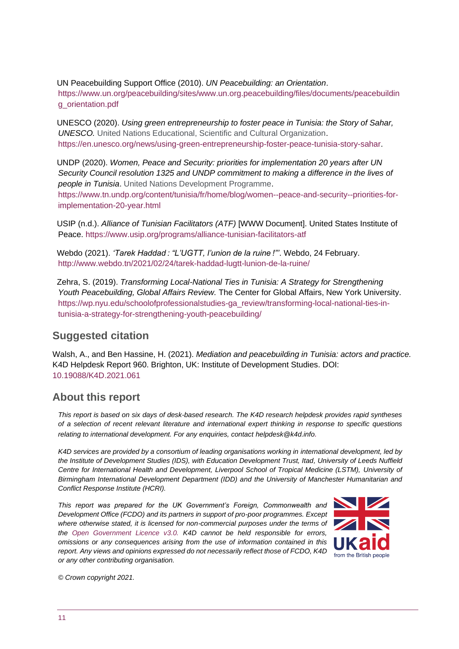UN Peacebuilding Support Office (2010). *UN Peacebuilding: an Orientation*. [https://www.un.org/peacebuilding/sites/www.un.org.peacebuilding/files/documents/peacebuildin](https://www.un.org/peacebuilding/sites/www.un.org.peacebuilding/files/documents/peacebuilding_orientation.pdf) [g\\_orientation.pdf](https://www.un.org/peacebuilding/sites/www.un.org.peacebuilding/files/documents/peacebuilding_orientation.pdf)

UNESCO (2020). *Using green entrepreneurship to foster peace in Tunisia: the Story of Sahar, UNESCO.* United Nations Educational, Scientific and Cultural Organization. [https://en.unesco.org/news/using-green-entrepreneurship-foster-peace-tunisia-story-sahar.](https://en.unesco.org/news/using-green-entrepreneurship-foster-peace-tunisia-story-sahar)

UNDP (2020). *Women, Peace and Security: priorities for implementation 20 years after UN Security Council resolution 1325 and UNDP commitment to making a difference in the lives of people in Tunisia*. United Nations Development Programme.

[https://www.tn.undp.org/content/tunisia/fr/home/blog/women--peace-and-security--priorities-for](https://www.tn.undp.org/content/tunisia/fr/home/blog/women--peace-and-security--priorities-for-implementation-20-year.html)[implementation-20-year.html](https://www.tn.undp.org/content/tunisia/fr/home/blog/women--peace-and-security--priorities-for-implementation-20-year.html)

USIP (n.d.). *Alliance of Tunisian Facilitators (ATF)* [WWW Document]. United States Institute of Peace.<https://www.usip.org/programs/alliance-tunisian-facilitators-atf>

Webdo (2021). *'Tarek Haddad : "L'UGTT, l'union de la ruine !"'*. Webdo, 24 February. <http://www.webdo.tn/2021/02/24/tarek-haddad-lugtt-lunion-de-la-ruine/>

Zehra, S. (2019). *Transforming Local-National Ties in Tunisia: A Strategy for Strengthening Youth Peacebuilding, Global Affairs Review.* The Center for Global Affairs, New York University. [https://wp.nyu.edu/schoolofprofessionalstudies-ga\\_review/transforming-local-national-ties-in](https://wp.nyu.edu/schoolofprofessionalstudies-ga_review/transforming-local-national-ties-in-tunisia-a-strategy-for-strengthening-youth-peacebuilding/)[tunisia-a-strategy-for-strengthening-youth-peacebuilding/](https://wp.nyu.edu/schoolofprofessionalstudies-ga_review/transforming-local-national-ties-in-tunisia-a-strategy-for-strengthening-youth-peacebuilding/)

#### **Suggested citation**

Walsh, A., and Ben Hassine, H. (2021). *Mediation and peacebuilding in Tunisia: actors and practice.* K4D Helpdesk Report 960. Brighton, UK: Institute of Development Studies. DOI: [10.19088/K4D.2021.061](https://doi.org/10.19088/K4D.2021.061)

## **About this report**

*This report is based on six days of desk-based research. The K4D research helpdesk provides rapid syntheses of a selection of recent relevant literature and international expert thinking in response to specific questions relating to international development. For any enquiries, contact helpdesk@k4d.info.*

*K4D services are provided by a consortium of leading organisations working in international development, led by the Institute of Development Studies (IDS), with Education Development Trust, Itad, University of Leeds Nuffield Centre for International Health and Development, Liverpool School of Tropical Medicine (LSTM), University of Birmingham International Development Department (IDD) and the University of Manchester Humanitarian and Conflict Response Institute (HCRI).*

*This report was prepared for the UK Government's Foreign, Commonwealth and Development Office (FCDO) and its partners in support of pro-poor programmes. Except where otherwise stated, it is licensed for non-commercial purposes under the terms of the [Open Government Licence v3.0.](https://www.nationalarchives.gov.uk/doc/open-government-licence/version/3/) K4D cannot be held responsible for errors, omissions or any consequences arising from the use of information contained in this report. Any views and opinions expressed do not necessarily reflect those of FCDO, K4D or any other contributing organisation.* 



<span id="page-10-0"></span>*© Crown copyright 2021.*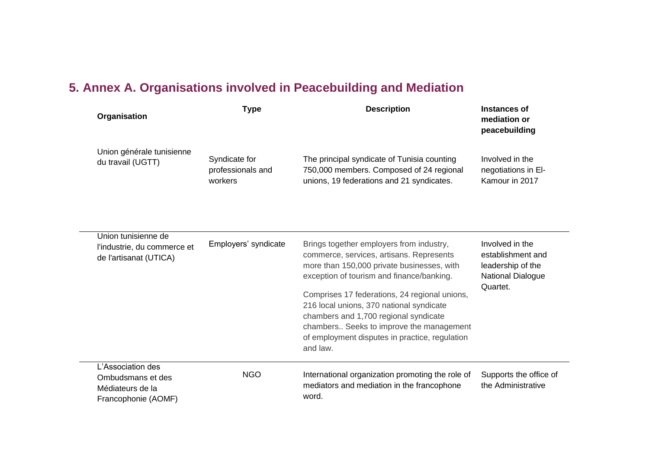# **5. Annex A. Organisations involved in Peacebuilding and Mediation**

| Organisation                                                                      | <b>Type</b>                                   | <b>Description</b>                                                                                                                                                                                                                                                                                                                                                                                                              | Instances of<br>mediation or<br>peacebuilding                                              |
|-----------------------------------------------------------------------------------|-----------------------------------------------|---------------------------------------------------------------------------------------------------------------------------------------------------------------------------------------------------------------------------------------------------------------------------------------------------------------------------------------------------------------------------------------------------------------------------------|--------------------------------------------------------------------------------------------|
| Union générale tunisienne<br>du travail (UGTT)                                    | Syndicate for<br>professionals and<br>workers | The principal syndicate of Tunisia counting<br>750,000 members. Composed of 24 regional<br>unions, 19 federations and 21 syndicates.                                                                                                                                                                                                                                                                                            | Involved in the<br>negotiations in El-<br>Kamour in 2017                                   |
| Union tunisienne de<br>l'industrie, du commerce et<br>de l'artisanat (UTICA)      | Employers' syndicate                          | Brings together employers from industry,<br>commerce, services, artisans. Represents<br>more than 150,000 private businesses, with<br>exception of tourism and finance/banking.<br>Comprises 17 federations, 24 regional unions,<br>216 local unions, 370 national syndicate<br>chambers and 1,700 regional syndicate<br>chambers Seeks to improve the management<br>of employment disputes in practice, regulation<br>and law. | Involved in the<br>establishment and<br>leadership of the<br>National Dialogue<br>Quartet. |
| L'Association des<br>Ombudsmans et des<br>Médiateurs de la<br>Francophonie (AOMF) | <b>NGO</b>                                    | International organization promoting the role of<br>mediators and mediation in the francophone<br>word.                                                                                                                                                                                                                                                                                                                         | Supports the office of<br>the Administrative                                               |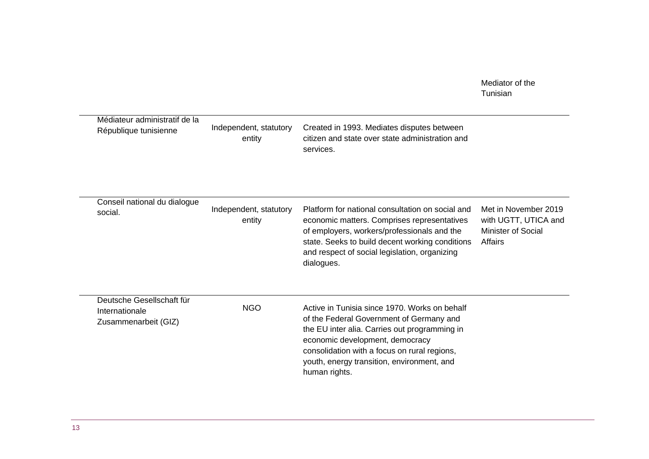|                                                                     |                                  |                                                                                                                                                                                                                                                                                              | Mediator of the<br>Tunisian                                                          |
|---------------------------------------------------------------------|----------------------------------|----------------------------------------------------------------------------------------------------------------------------------------------------------------------------------------------------------------------------------------------------------------------------------------------|--------------------------------------------------------------------------------------|
| Médiateur administratif de la<br>République tunisienne              | Independent, statutory<br>entity | Created in 1993. Mediates disputes between<br>citizen and state over state administration and<br>services.                                                                                                                                                                                   |                                                                                      |
| Conseil national du dialogue<br>social.                             | Independent, statutory<br>entity | Platform for national consultation on social and<br>economic matters. Comprises representatives<br>of employers, workers/professionals and the<br>state. Seeks to build decent working conditions<br>and respect of social legislation, organizing<br>dialogues.                             | Met in November 2019<br>with UGTT, UTICA and<br><b>Minister of Social</b><br>Affairs |
| Deutsche Gesellschaft für<br>Internationale<br>Zusammenarbeit (GIZ) | <b>NGO</b>                       | Active in Tunisia since 1970. Works on behalf<br>of the Federal Government of Germany and<br>the EU inter alia. Carries out programming in<br>economic development, democracy<br>consolidation with a focus on rural regions,<br>youth, energy transition, environment, and<br>human rights. |                                                                                      |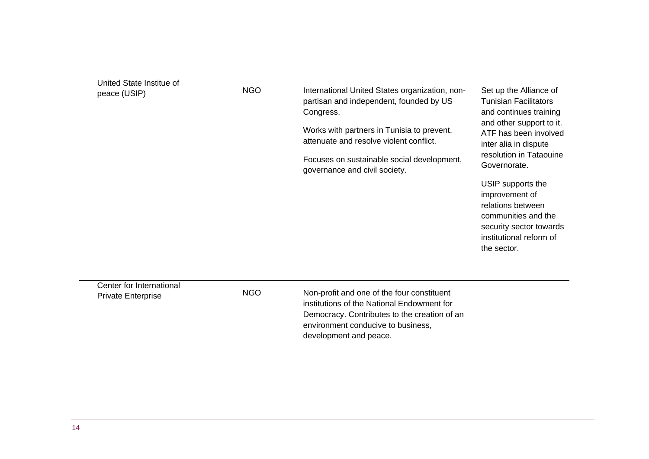[United State Institue of](https://www.usip.org/) 

[peace \(USIP\)](https://www.usip.org/) MGO **International United States organization**, nonpartisan and independent, founded by US Congress.

> Works with partners in Tunisia to prevent, attenuate and resolve violent conflict.

Focuses on sustainable social development, governance and civil society.

Set up the Alliance of Tunisian Facilitators and continues training and other support to it. ATF has been involved inter alia in dispute resolution in Tataouine Governorate.

USIP supports the improvement of relations between communities and the security sector towards institutional reform of the sector.

Center for International

Private Enterprise NGO Non-profit and one of the four constituent institutions of the National Endowment for Democracy. Contributes to the creation of an environment conducive to business, development and peace.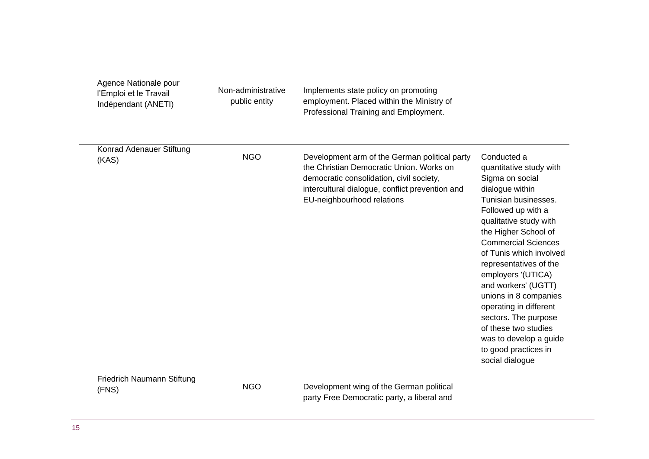| Agence Nationale pour<br>l'Emploi et le Travail<br>Indépendant (ANETI) | Non-administrative<br>public entity | Implements state policy on promoting<br>employment. Placed within the Ministry of<br>Professional Training and Employment.                                                                                             |                                                                                                                                                                                                                                                                                                                                                                                                                                                                                      |
|------------------------------------------------------------------------|-------------------------------------|------------------------------------------------------------------------------------------------------------------------------------------------------------------------------------------------------------------------|--------------------------------------------------------------------------------------------------------------------------------------------------------------------------------------------------------------------------------------------------------------------------------------------------------------------------------------------------------------------------------------------------------------------------------------------------------------------------------------|
| Konrad Adenauer Stiftung<br>(KAS)                                      | <b>NGO</b>                          | Development arm of the German political party<br>the Christian Democratic Union. Works on<br>democratic consolidation, civil society,<br>intercultural dialogue, conflict prevention and<br>EU-neighbourhood relations | Conducted a<br>quantitative study with<br>Sigma on social<br>dialogue within<br>Tunisian businesses.<br>Followed up with a<br>qualitative study with<br>the Higher School of<br><b>Commercial Sciences</b><br>of Tunis which involved<br>representatives of the<br>employers '(UTICA)<br>and workers' (UGTT)<br>unions in 8 companies<br>operating in different<br>sectors. The purpose<br>of these two studies<br>was to develop a guide<br>to good practices in<br>social dialogue |
| Friedrich Naumann Stiftung<br>(FNS)                                    | <b>NGO</b>                          | Development wing of the German political<br>party Free Democratic party, a liberal and                                                                                                                                 |                                                                                                                                                                                                                                                                                                                                                                                                                                                                                      |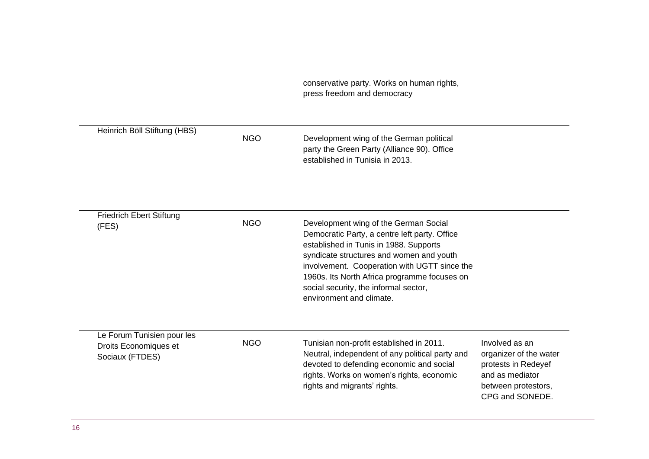conservative party. Works on human rights, press freedom and democracy

| Heinrich Böll Stiftung (HBS)                                           | <b>NGO</b> | Development wing of the German political<br>party the Green Party (Alliance 90). Office<br>established in Tunisia in 2013.                                                                                                                                                                                                                        |                                                                                                                              |
|------------------------------------------------------------------------|------------|---------------------------------------------------------------------------------------------------------------------------------------------------------------------------------------------------------------------------------------------------------------------------------------------------------------------------------------------------|------------------------------------------------------------------------------------------------------------------------------|
| <b>Friedrich Ebert Stiftung</b><br>(FES)                               | <b>NGO</b> | Development wing of the German Social<br>Democratic Party, a centre left party. Office<br>established in Tunis in 1988. Supports<br>syndicate structures and women and youth<br>involvement. Cooperation with UGTT since the<br>1960s. Its North Africa programme focuses on<br>social security, the informal sector,<br>environment and climate. |                                                                                                                              |
| Le Forum Tunisien pour les<br>Droits Economiques et<br>Sociaux (FTDES) | <b>NGO</b> | Tunisian non-profit established in 2011.<br>Neutral, independent of any political party and<br>devoted to defending economic and social<br>rights. Works on women's rights, economic<br>rights and migrants' rights.                                                                                                                              | Involved as an<br>organizer of the water<br>protests in Redeyef<br>and as mediator<br>between protestors,<br>CPG and SONEDE. |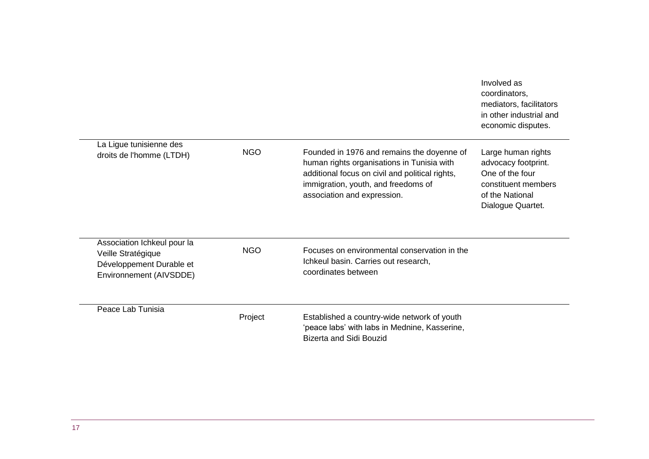|                                                                                                          |            |                                                                                                                                                                                                                   | Involved as<br>coordinators,<br>mediators, facilitators<br>in other industrial and<br>economic disputes.                    |
|----------------------------------------------------------------------------------------------------------|------------|-------------------------------------------------------------------------------------------------------------------------------------------------------------------------------------------------------------------|-----------------------------------------------------------------------------------------------------------------------------|
| La Ligue tunisienne des<br>droits de l'homme (LTDH)                                                      | <b>NGO</b> | Founded in 1976 and remains the doyenne of<br>human rights organisations in Tunisia with<br>additional focus on civil and political rights,<br>immigration, youth, and freedoms of<br>association and expression. | Large human rights<br>advocacy footprint.<br>One of the four<br>constituent members<br>of the National<br>Dialogue Quartet. |
| Association Ichkeul pour la<br>Veille Stratégique<br>Développement Durable et<br>Environnement (AIVSDDE) | <b>NGO</b> | Focuses on environmental conservation in the<br>Ichkeul basin. Carries out research,<br>coordinates between                                                                                                       |                                                                                                                             |
| Peace Lab Tunisia                                                                                        | Project    | Established a country-wide network of youth<br>'peace labs' with labs in Mednine, Kasserine,<br><b>Bizerta and Sidi Bouzid</b>                                                                                    |                                                                                                                             |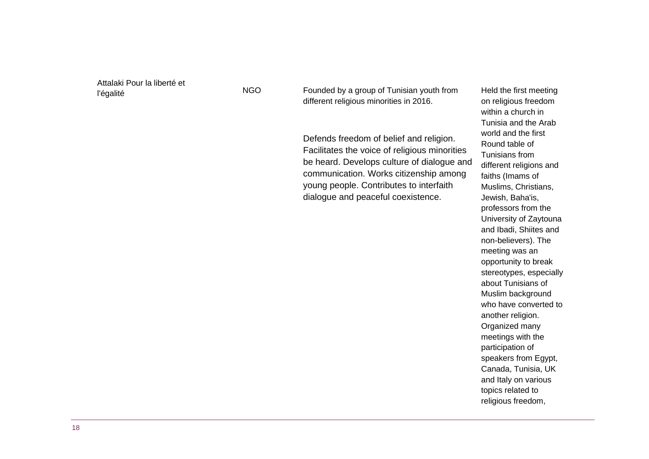Attalaki Pour la liberté et

l'égalité NGO Founded by a group of Tunisian youth from different religious minorities in 2016.

> Defends freedom of belief and religion. Facilitates the voice of religious minorities be heard. Develops culture of dialogue and communication. Works citizenship among young people. Contributes to interfaith dialogue and peaceful coexistence.

Held the first meeting on religious freedom within a church in Tunisia and the Arab world and the first Round table of Tunisians from different religions and faiths (Imams of Muslims, Christians, Jewish, Baha'is, professors from the University of Zaytouna and Ibadi, Shiites and non-believers). The meeting was an opportunity to break stereotypes, especially about Tunisians of Muslim background who have converted to another religion. Organized many meetings with the participation of speakers from Egypt, Canada, Tunisia, UK and Italy on various topics related to religious freedom,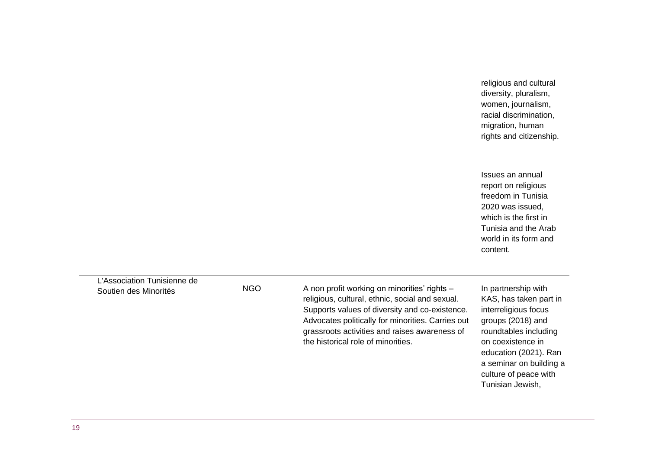religious and cultural diversity, pluralism, women, journalism, racial discrimination, migration, human rights and citizenship.

Issues an annual report on religious freedom in Tunisia 2020 was issued, which is the first in Tunisia and the Arab world in its form and content.

L'Association Tunisienne de

Soutien des Minorités NGO A non profit working on minorities' rights – religious, cultural, ethnic, social and sexual. Supports values of diversity and co-existence. Advocates politically for minorities. Carries out grassroots activities and raises awareness of the historical role of minorities.

In partnership with KAS, has taken part in interreligious focus groups (2018) and roundtables including on coexistence in education (2021). Ran a seminar on building a culture of peace with Tunisian Jewish,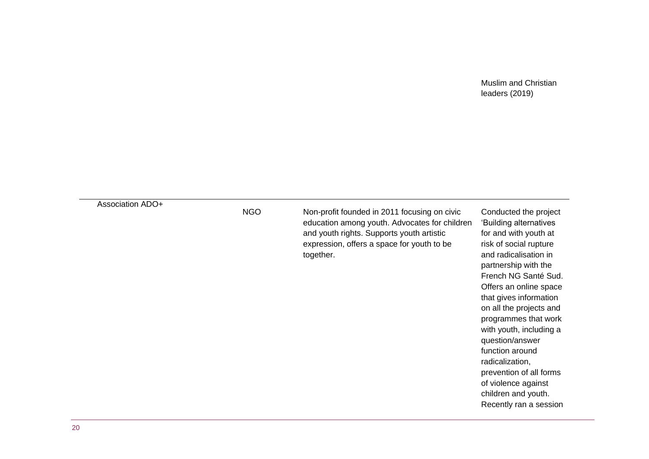#### Muslim and Christian leaders (2019)

#### Association ADO+

NGO Non-profit founded in 2011 focusing on civic education among youth. Advocates for children and youth rights. Supports youth artistic expression, offers a space for youth to be together.

Conducted the project 'Building alternatives for and with youth at risk of social rupture and radicalisation in partnership with the French NG Santé Sud. Offers an online space that gives information on all the projects and programmes that work with youth, including a question/answer function around radicalization, prevention of all forms of violence against children and youth. Recently ran a session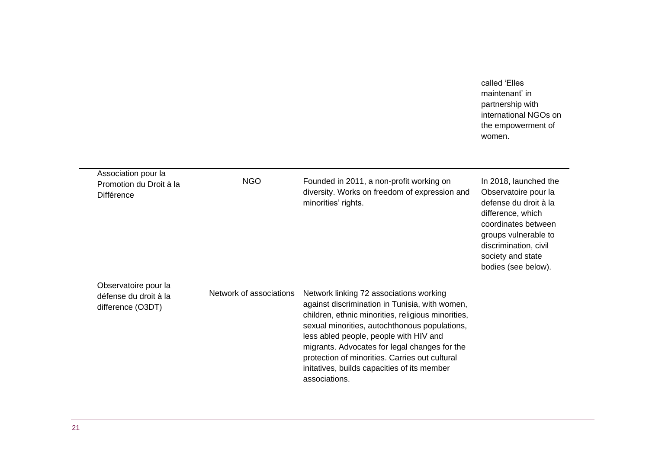| called 'Elles         |
|-----------------------|
| maintenant' in        |
| partnership with      |
| international NGOs on |
| the empowerment of    |
| women.                |

| Association pour la<br>Promotion du Droit à la<br>Différence       | NGO                     | Founded in 2011, a non-profit working on<br>diversity. Works on freedom of expression and<br>minorities' rights.                                                                                                                                                                                                                                                                                              | In 2018, launched the<br>Observatoire pour la<br>defense du droit à la<br>difference, which<br>coordinates between<br>groups vulnerable to<br>discrimination, civil<br>society and state<br>bodies (see below). |
|--------------------------------------------------------------------|-------------------------|---------------------------------------------------------------------------------------------------------------------------------------------------------------------------------------------------------------------------------------------------------------------------------------------------------------------------------------------------------------------------------------------------------------|-----------------------------------------------------------------------------------------------------------------------------------------------------------------------------------------------------------------|
| Observatoire pour la<br>défense du droit à la<br>difference (O3DT) | Network of associations | Network linking 72 associations working<br>against discrimination in Tunisia, with women,<br>children, ethnic minorities, religious minorities,<br>sexual minorities, autochthonous populations,<br>less abled people, people with HIV and<br>migrants. Advocates for legal changes for the<br>protection of minorities. Carries out cultural<br>initatives, builds capacities of its member<br>associations. |                                                                                                                                                                                                                 |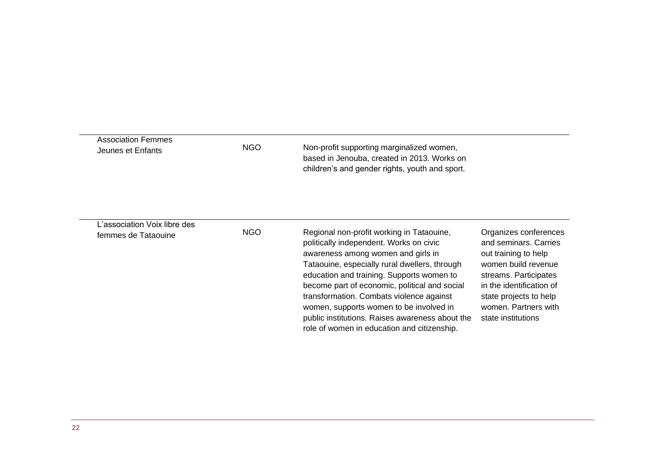| <b>Association Femmes</b><br>Jeunes et Enfants      | NGO.       | Non-profit supporting marginalized women,<br>based in Jenouba, created in 2013. Works on<br>children's and gender rights, youth and sport.                                                                                                                                                                                                                                                                                                                         |                                                                                                                                                                                                                            |
|-----------------------------------------------------|------------|--------------------------------------------------------------------------------------------------------------------------------------------------------------------------------------------------------------------------------------------------------------------------------------------------------------------------------------------------------------------------------------------------------------------------------------------------------------------|----------------------------------------------------------------------------------------------------------------------------------------------------------------------------------------------------------------------------|
| L'association Voix libre des<br>femmes de Tataouine | <b>NGO</b> | Regional non-profit working in Tataouine,<br>politically independent. Works on civic<br>awareness among women and girls in<br>Tataouine, especially rural dwellers, through<br>education and training. Supports women to<br>become part of economic, political and social<br>transformation. Combats violence against<br>women, supports women to be involved in<br>public institutions. Raises awareness about the<br>role of women in education and citizenship. | Organizes conferences<br>and seminars. Carries<br>out training to help<br>women build revenue<br>streams. Participates<br>in the identification of<br>state projects to help<br>women. Partners with<br>state institutions |